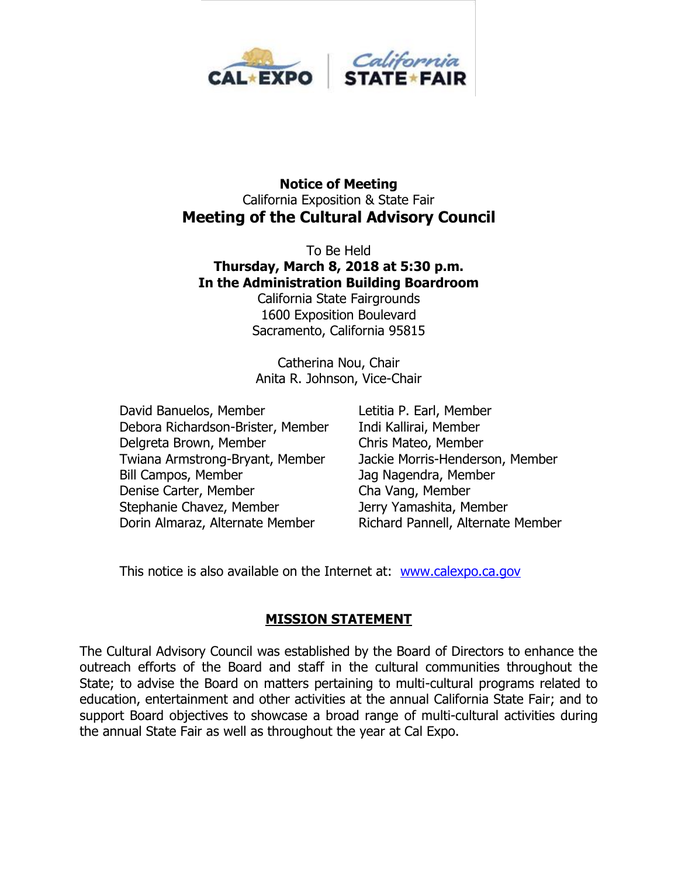

#### **Notice of Meeting** California Exposition & State Fair **Meeting of the Cultural Advisory Council**

To Be Held **Thursday, March 8, 2018 at 5:30 p.m. In the Administration Building Boardroom**

California State Fairgrounds 1600 Exposition Boulevard Sacramento, California 95815

Catherina Nou, Chair Anita R. Johnson, Vice-Chair

David Banuelos, Member Letitia P. Earl, Member Debora Richardson-Brister, Member Indi Kallirai, Member Delgreta Brown, Member Chris Mateo, Member Twiana Armstrong-Bryant, Member Jackie Morris-Henderson, Member Bill Campos, Member Jag Nagendra, Member Denise Carter, Member Cha Vang, Member Stephanie Chavez, Member Jerry Yamashita, Member Dorin Almaraz, Alternate Member Richard Pannell, Alternate Member

This notice is also available on the Internet at: [www.calexpo.ca.gov](http://www.calexpo.ca.gov/)

## **MISSION STATEMENT**

The Cultural Advisory Council was established by the Board of Directors to enhance the outreach efforts of the Board and staff in the cultural communities throughout the State; to advise the Board on matters pertaining to multi-cultural programs related to education, entertainment and other activities at the annual California State Fair; and to support Board objectives to showcase a broad range of multi-cultural activities during the annual State Fair as well as throughout the year at Cal Expo.